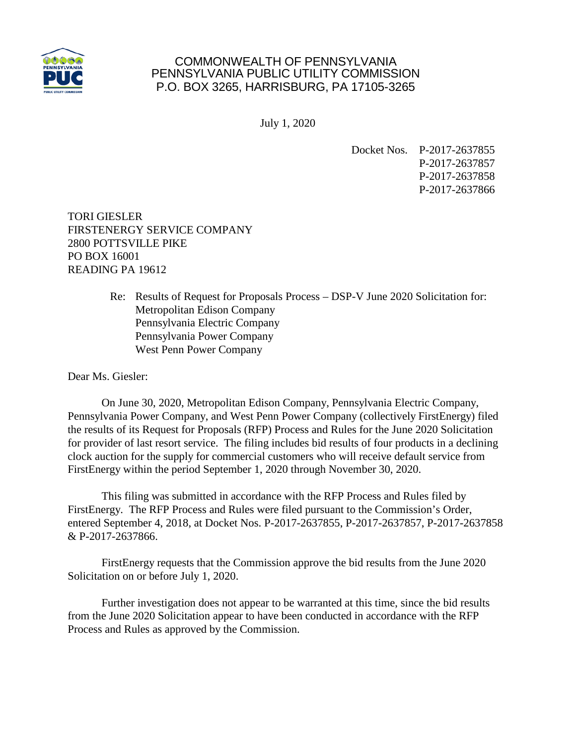

## COMMONWEALTH OF PENNSYLVANIA PENNSYLVANIA PUBLIC UTILITY COMMISSION P.O. BOX 3265, HARRISBURG, PA 17105-3265

July 1, 2020

Docket Nos. P-2017-2637855 P-2017-2637857 P-2017-2637858 P-2017-2637866

TORI GIESLER FIRSTENERGY SERVICE COMPANY 2800 POTTSVILLE PIKE PO BOX 16001 READING PA 19612

> Re: Results of Request for Proposals Process – DSP-V June 2020 Solicitation for: Metropolitan Edison Company Pennsylvania Electric Company Pennsylvania Power Company West Penn Power Company

Dear Ms. Giesler:

On June 30, 2020, Metropolitan Edison Company, Pennsylvania Electric Company, Pennsylvania Power Company, and West Penn Power Company (collectively FirstEnergy) filed the results of its Request for Proposals (RFP) Process and Rules for the June 2020 Solicitation for provider of last resort service. The filing includes bid results of four products in a declining clock auction for the supply for commercial customers who will receive default service from FirstEnergy within the period September 1, 2020 through November 30, 2020.

This filing was submitted in accordance with the RFP Process and Rules filed by FirstEnergy. The RFP Process and Rules were filed pursuant to the Commission's Order, entered September 4, 2018, at Docket Nos. P-2017-2637855, P-2017-2637857, P-2017-2637858 & P-2017-2637866.

FirstEnergy requests that the Commission approve the bid results from the June 2020 Solicitation on or before July 1, 2020.

Further investigation does not appear to be warranted at this time, since the bid results from the June 2020 Solicitation appear to have been conducted in accordance with the RFP Process and Rules as approved by the Commission.